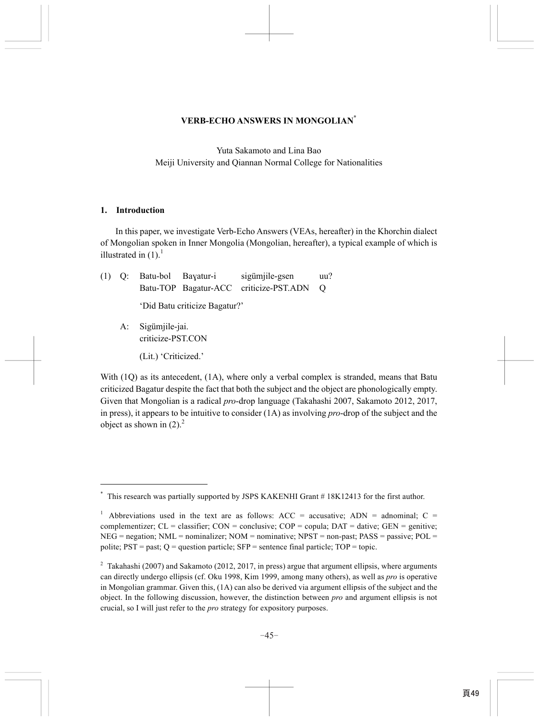### **VERB-ECHO ANSWERS IN MONGOLIAN\***

Yuta Sakamoto and Lina Bao Meiji University and Qiannan Normal College for Nationalities

### **1. Introduction**

In this paper, we investigate Verb-Echo Answers (VEAs, hereafter) in the Khorchin dialect of Mongolian spoken in Inner Mongolia (Mongolian, hereafter), a typical example of which is illustrated in  $(1)$ .<sup>1</sup>

|  |                               | (1) Q: Batu-bol Bayatur-i sigümjile-gsen | $uu$ ? |
|--|-------------------------------|------------------------------------------|--------|
|  |                               | Batu-TOP Bagatur-ACC criticize-PST.ADN Q |        |
|  | 'Did Batu criticize Bagatur?' |                                          |        |
|  |                               |                                          |        |

 A: Sigümjile-jai. criticize-PST.CON (Lit.) 'Criticized.'

With (1Q) as its antecedent, (1A), where only a verbal complex is stranded, means that Batu criticized Bagatur despite the fact that both the subject and the object are phonologically empty. Given that Mongolian is a radical *pro*-drop language (Takahashi 2007, Sakamoto 2012, 2017, in press), it appears to be intuitive to consider (1A) as involving *pro*-drop of the subject and the object as shown in  $(2)$ .<sup>2</sup>

<sup>\*</sup> This research was partially supported by JSPS KAKENHI Grant # 18K12413 for the first author.

<sup>&</sup>lt;sup>1</sup> Abbreviations used in the text are as follows: ACC = accusative; ADN = adnominal; C = complementizer;  $CL = classifier$ ;  $CON = conclusive$ ;  $COP = copula$ ;  $DATA = dative$ ;  $GEN = genitive$ ;  $NEG = negative; NML = nominalizer; NOM = nominative; NPST = non-past; PASS = passive; POL =$ polite;  $PST = past$ ;  $Q = question$  particle;  $SFP = sentence$  final particle;  $TOP = topic$ .

<sup>&</sup>lt;sup>2</sup> Takahashi (2007) and Sakamoto (2012, 2017, in press) argue that argument ellipsis, where arguments can directly undergo ellipsis (cf. Oku 1998, Kim 1999, among many others), as well as *pro* is operative in Mongolian grammar. Given this, (1A) can also be derived via argument ellipsis of the subject and the object. In the following discussion, however, the distinction between *pro* and argument ellipsis is not crucial, so I will just refer to the *pro* strategy for expository purposes.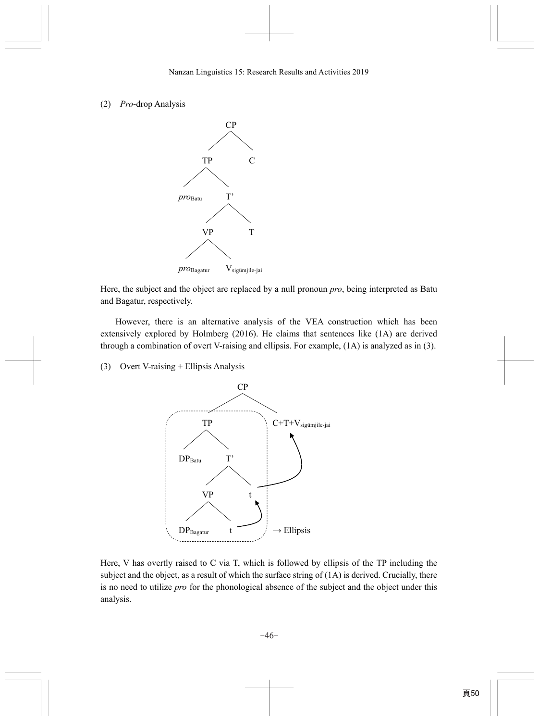## (2) *Pro*-drop Analysis



Here, the subject and the object are replaced by a null pronoun *pro*, being interpreted as Batu and Bagatur, respectively.

However, there is an alternative analysis of the VEA construction which has been extensively explored by Holmberg (2016). He claims that sentences like (1A) are derived through a combination of overt V-raising and ellipsis. For example, (1A) is analyzed as in (3).

(3) Overt V-raising + Ellipsis Analysis



Here, V has overtly raised to C via T, which is followed by ellipsis of the TP including the subject and the object, as a result of which the surface string of (1A) is derived. Crucially, there is no need to utilize *pro* for the phonological absence of the subject and the object under this analysis.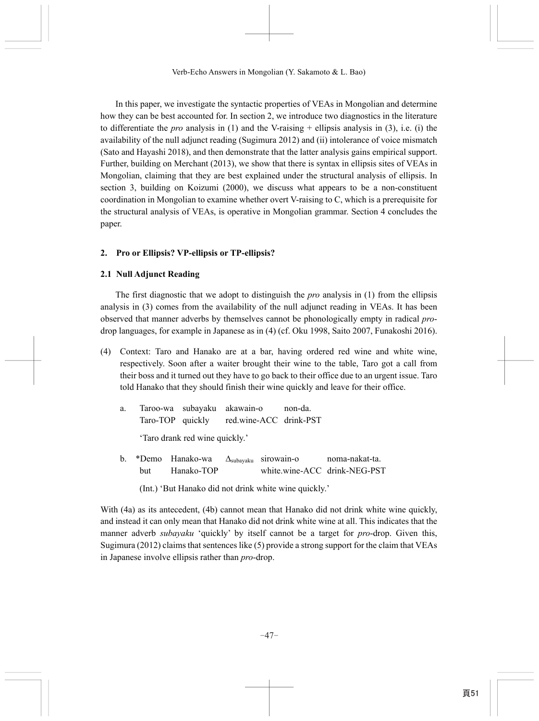In this paper, we investigate the syntactic properties of VEAs in Mongolian and determine how they can be best accounted for. In section 2, we introduce two diagnostics in the literature to differentiate the *pro* analysis in (1) and the V-raising + ellipsis analysis in (3), i.e. (i) the availability of the null adjunct reading (Sugimura 2012) and (ii) intolerance of voice mismatch (Sato and Hayashi 2018), and then demonstrate that the latter analysis gains empirical support. Further, building on Merchant (2013), we show that there is syntax in ellipsis sites of VEAs in Mongolian, claiming that they are best explained under the structural analysis of ellipsis. In section 3, building on Koizumi (2000), we discuss what appears to be a non-constituent coordination in Mongolian to examine whether overt V-raising to C, which is a prerequisite for the structural analysis of VEAs, is operative in Mongolian grammar. Section 4 concludes the paper.

# **2. Pro or Ellipsis? VP-ellipsis or TP-ellipsis?**

# **2.1 Null Adjunct Reading**

The first diagnostic that we adopt to distinguish the *pro* analysis in (1) from the ellipsis analysis in (3) comes from the availability of the null adjunct reading in VEAs. It has been observed that manner adverbs by themselves cannot be phonologically empty in radical *pro*drop languages, for example in Japanese as in (4) (cf. Oku 1998, Saito 2007, Funakoshi 2016).

(4) Context: Taro and Hanako are at a bar, having ordered red wine and white wine, respectively. Soon after a waiter brought their wine to the table, Taro got a call from their boss and it turned out they have to go back to their office due to an urgent issue. Taro told Hanako that they should finish their wine quickly and leave for their office.

|  | Taroo-wa subayaku akawain-o             | non-da. |
|--|-----------------------------------------|---------|
|  | Taro-TOP quickly red.wine-ACC drink-PST |         |

'Taro drank red wine quickly.'

- b. \*Demo Hanako-wa Δsubayaku sirowain-o noma-nakat-ta. but Hanako-TOP white.wine-ACC drink-NEG-PST
	- (Int.) 'But Hanako did not drink white wine quickly.'

With (4a) as its antecedent, (4b) cannot mean that Hanako did not drink white wine quickly, and instead it can only mean that Hanako did not drink white wine at all. This indicates that the manner adverb *subayaku* 'quickly' by itself cannot be a target for *pro*-drop. Given this, Sugimura (2012) claims that sentences like (5) provide a strong support for the claim that VEAs in Japanese involve ellipsis rather than *pro*-drop.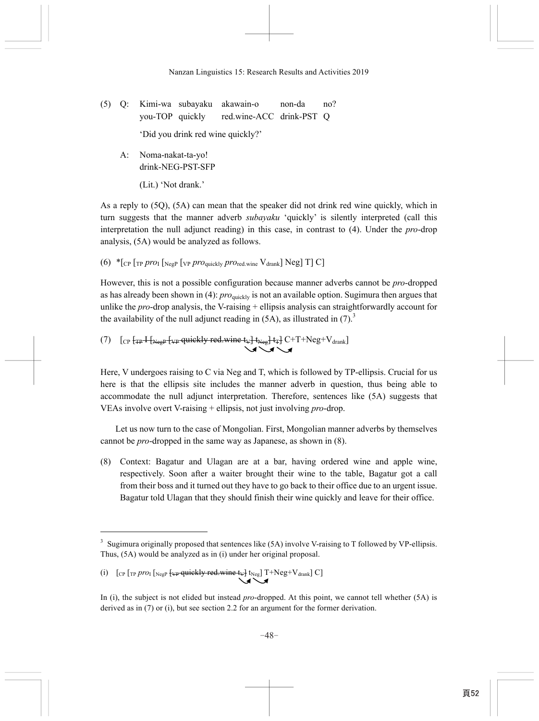- (5) Q: Kimi-wa subayaku akawain-o non-da no? you-TOP quickly red.wine-ACC drink-PST Q 'Did you drink red wine quickly?'
	- A: Noma-nakat-ta-yo! drink-NEG-PST-SFP

(Lit.) 'Not drank.'

As a reply to (5Q), (5A) can mean that the speaker did not drink red wine quickly, which in turn suggests that the manner adverb *subayaku* 'quickly' is silently interpreted (call this interpretation the null adjunct reading) in this case, in contrast to (4). Under the *pro*-drop analysis, (5A) would be analyzed as follows.

(6)  $*_{C}$  [<sub>TP</sub> *pro*<sub>I</sub>  $_{\text{NegP}}$  [<sub>VP</sub> *pro*<sub>quickly</sub> *pro*<sub>red.wine</sub>  $V_{\text{drank}}$ ] Neg] T] C]

However, this is not a possible configuration because manner adverbs cannot be *pro*-dropped as has already been shown in (4): *pro*quickly is not an available option. Sugimura then argues that unlike the *pro*-drop analysis, the V-raising + ellipsis analysis can straightforwardly account for the availability of the null adjunct reading in  $(5A)$ , as illustrated in  $(7)<sup>3</sup>$ 

(7)  $[CP F_{TF} + F_{Neg} + \mu_F$  quickly red.wine  $\{v\} + \mu_g + \mu_F$  C+T+Neg+V<sub>drank</sub>]

Here, V undergoes raising to C via Neg and T, which is followed by TP-ellipsis. Crucial for us here is that the ellipsis site includes the manner adverb in question, thus being able to accommodate the null adjunct interpretation. Therefore, sentences like (5A) suggests that VEAs involve overt V-raising + ellipsis, not just involving *pro*-drop.

Let us now turn to the case of Mongolian. First, Mongolian manner adverbs by themselves cannot be *pro*-dropped in the same way as Japanese, as shown in (8).

(8) Context: Bagatur and Ulagan are at a bar, having ordered wine and apple wine, respectively. Soon after a waiter brought their wine to the table, Bagatur got a call from their boss and it turned out they have to go back to their office due to an urgent issue. Bagatur told Ulagan that they should finish their wine quickly and leave for their office.

<sup>&</sup>lt;sup>3</sup> Sugimura originally proposed that sentences like (5A) involve V-raising to T followed by VP-ellipsis. Thus, (5A) would be analyzed as in (i) under her original proposal.

<sup>(</sup>i)  $\left[$   $\left[$   $\right]$   $\left[$   $\left[$   $\right]$   $\left[$   $\left[$   $\right]$   $\left[$   $\left[$   $\left[$   $\left[$   $\left[$   $\left[$   $\left[$   $\right]$   $\left[$   $\left[$   $\left[$   $\left[$   $\left[$   $\left[$   $\left[$   $\left[$   $\left[$   $\left[$   $\left[$   $\right]$   $\left[$   $\left[$   $\left[$   $\left[$   $\left[$   $\left[$   $\left[$ 

In (i), the subject is not elided but instead *pro*-dropped. At this point, we cannot tell whether (5A) is derived as in (7) or (i), but see section 2.2 for an argument for the former derivation.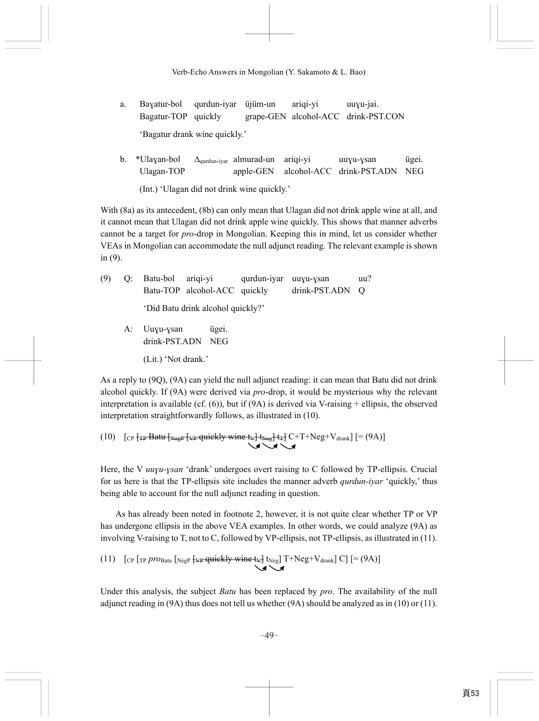- a. Baɣatur-bol qurdun-iyar üjüm-un ariqi-yi uuɣu-jai. Bagatur-TOP quickly grape-GEN alcohol-ACC drink-PST.CON 'Bagatur drank wine quickly.'
- b. \*Ulaɣan-bol Δqurdun-iyar almurad-un ariqi-yi uuɣu-ɣsan ügei. Ulagan-TOP apple-GEN alcohol-ACC drink-PST.ADN NEG (Int.) 'Ulagan did not drink wine quickly.'

With (8a) as its antecedent, (8b) can only mean that Ulagan did not drink apple wine at all, and it cannot mean that Ulagan did not drink apple wine quickly. This shows that manner adverbs cannot be a target for *pro*-drop in Mongolian. Keeping this in mind, let us consider whether VEAs in Mongolian can accommodate the null adjunct reading. The relevant example is shown in (9).

| (9) |              | Q: Batu-bol ariqi-yi qurdun-iyar uuyu-ysan |                 | uu? |
|-----|--------------|--------------------------------------------|-----------------|-----|
|     |              | Batu-TOP alcohol-ACC quickly               | drink-PST.ADN Q |     |
|     |              | 'Did Batu drink alcohol quickly?'          |                 |     |
|     | A: Uuyu-ysan | ügei.                                      |                 |     |

 drink-PST.ADN NEG (Lit.) 'Not drank.'

As a reply to (9Q), (9A) can yield the null adjunct reading: it can mean that Batu did not drink alcohol quickly. If (9A) were derived via *pro*-drop, it would be mysterious why the relevant interpretation is available (cf.  $(6)$ ), but if  $(9A)$  is derived via V-raising + ellipsis, the observed interpretation straightforwardly follows, as illustrated in (10).

(10) 
$$
\left[ \text{CP F}_{\text{TP}} \text{Batt} \left[ \text{Neg} \left[ \text{VP-quickly wine t} \psi \right] \text{Neg} \left[ \text{t} \psi \right] \text{C+T+Neg+V}_{\text{drank}} \right] \left[ = (9A) \right] \right]
$$

Here, the V *uuvu-vsan* 'drank' undergoes overt raising to C followed by TP-ellipsis. Crucial for us here is that the TP-ellipsis site includes the manner adverb *qurdun-iyar* 'quickly,' thus being able to account for the null adjunct reading in question.

As has already been noted in footnote 2, however, it is not quite clear whether TP or VP has undergone ellipsis in the above VEA examples. In other words, we could analyze (9A) as involving V-raising to T, not to C, followed by VP-ellipsis, not TP-ellipsis, as illustrated in (11).

(11) [CP [TP *pro*Batu [NegP {
$$
\Psi
$$
quiekly wine  $\Psi$ ]  $t_{Neg}$ ] T+Neg+ $V_{drank}$ ] C] [=(9A)]

Under this analysis, the subject *Batu* has been replaced by *pro*. The availability of the null adjunct reading in (9A) thus does not tell us whether (9A) should be analyzed as in (10) or (11).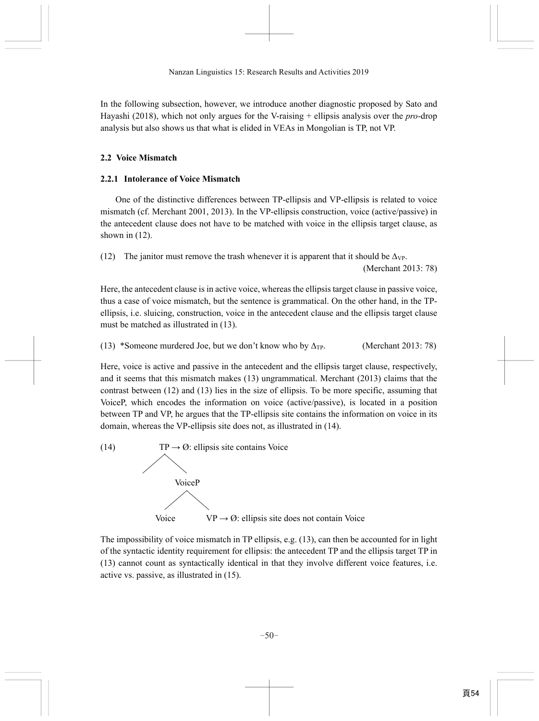In the following subsection, however, we introduce another diagnostic proposed by Sato and Hayashi (2018), which not only argues for the V-raising + ellipsis analysis over the *pro*-drop analysis but also shows us that what is elided in VEAs in Mongolian is TP, not VP.

# **2.2 Voice Mismatch**

# **2.2.1 Intolerance of Voice Mismatch**

One of the distinctive differences between TP-ellipsis and VP-ellipsis is related to voice mismatch (cf. Merchant 2001, 2013). In the VP-ellipsis construction, voice (active/passive) in the antecedent clause does not have to be matched with voice in the ellipsis target clause, as shown in  $(12)$ .

(12) The janitor must remove the trash whenever it is apparent that it should be  $\Delta_{VP}$ .

(Merchant 2013: 78)

Here, the antecedent clause is in active voice, whereas the ellipsis target clause in passive voice, thus a case of voice mismatch, but the sentence is grammatical. On the other hand, in the TPellipsis, i.e. sluicing, construction, voice in the antecedent clause and the ellipsis target clause must be matched as illustrated in (13).

(13) \*Someone murdered Joe, but we don't know who by  $\Delta_{\text{TP}}$ . (Merchant 2013: 78)

Here, voice is active and passive in the antecedent and the ellipsis target clause, respectively, and it seems that this mismatch makes (13) ungrammatical. Merchant (2013) claims that the contrast between (12) and (13) lies in the size of ellipsis. To be more specific, assuming that VoiceP, which encodes the information on voice (active/passive), is located in a position between TP and VP, he argues that the TP-ellipsis site contains the information on voice in its domain, whereas the VP-ellipsis site does not, as illustrated in (14).



The impossibility of voice mismatch in TP ellipsis, e.g. (13), can then be accounted for in light of the syntactic identity requirement for ellipsis: the antecedent TP and the ellipsis target TP in (13) cannot count as syntactically identical in that they involve different voice features, i.e. active vs. passive, as illustrated in (15).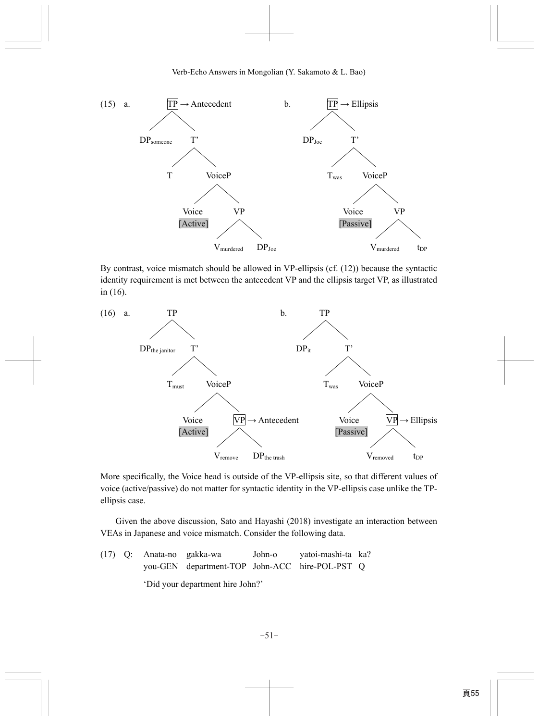

By contrast, voice mismatch should be allowed in VP-ellipsis (cf. (12)) because the syntactic identity requirement is met between the antecedent VP and the ellipsis target VP, as illustrated in (16).



More specifically, the Voice head is outside of the VP-ellipsis site, so that different values of voice (active/passive) do not matter for syntactic identity in the VP-ellipsis case unlike the TPellipsis case.

Given the above discussion, Sato and Hayashi (2018) investigate an interaction between VEAs in Japanese and voice mismatch. Consider the following data.

|  | $(17)$ Q: Anata-no gakka-wa      |                                                |  | John-o yatoi-mashi-ta ka? |  |  |
|--|----------------------------------|------------------------------------------------|--|---------------------------|--|--|
|  |                                  | you-GEN department-TOP John-ACC hire-POL-PST Q |  |                           |  |  |
|  | 'Did your department hire John?' |                                                |  |                           |  |  |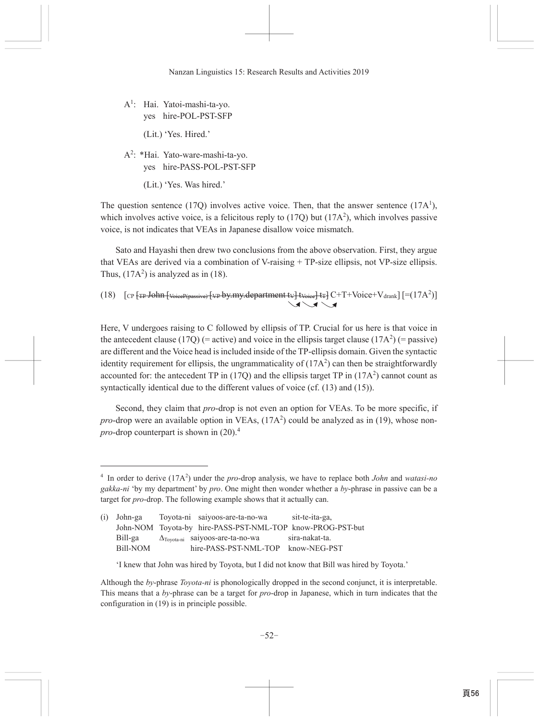$A^1$ : Hai. Yatoi-mashi-ta-vo. yes hire-POL-PST-SFP

(Lit.) 'Yes. Hired.'

- A<sup>2</sup>: \*Hai. Yato-ware-mashi-ta-vo. yes hire-PASS-POL-PST-SFP
	- (Lit.) 'Yes. Was hired.'

The question sentence (17Q) involves active voice. Then, that the answer sentence (17A<sup>1</sup>), which involves active voice, is a felicitous reply to  $(170)$  but  $(17A<sup>2</sup>)$ , which involves passive voice, is not indicates that VEAs in Japanese disallow voice mismatch.

Sato and Hayashi then drew two conclusions from the above observation. First, they argue that VEAs are derived via a combination of V-raising  $+$  TP-size ellipsis, not VP-size ellipsis. Thus,  $(17A<sup>2</sup>)$  is analyzed as in (18).

(18)  $[CP [TP-John]{VoeeP(passive)}[VP by my.department{t}v]$ tvoice $tr] CF[T+Voice+V_{drank}]$  $[=(17A^2)]$ 

Here, V undergoes raising to C followed by ellipsis of TP. Crucial for us here is that voice in the antecedent clause (17Q) (= active) and voice in the ellipsis target clause (17A<sup>2</sup>) (= passive) are different and the Voice head is included inside of the TP-ellipsis domain. Given the syntactic identity requirement for ellipsis, the ungrammaticality of  $(17A<sup>2</sup>)$  can then be straightforwardly accounted for: the antecedent TP in (17Q) and the ellipsis target TP in (17A<sup>2</sup>) cannot count as syntactically identical due to the different values of voice (cf.  $(13)$ ) and  $(15)$ ).

Second, they claim that *pro*-drop is not even an option for VEAs. To be more specific, if *pro*-drop were an available option in VEAs,  $(17A<sup>2</sup>)$  could be analyzed as in (19), whose non*pro*-drop counterpart is shown in  $(20)^{4}$ 

<sup>&</sup>lt;sup>4</sup> In order to derive (17A<sup>2</sup>) under the *pro*-drop analysis, we have to replace both *John* and *watasi-no* gakka-ni 'by my department' by pro. One might then wonder whether a by-phrase in passive can be a target for *pro*-drop. The following example shows that it actually can.

 $(i)$  John-ga Toyota-ni saiyoos-are-ta-no-wa sit-te-ita-ga, John-NOM Toyota-by hire-PASS-PST-NML-TOP know-PROG-PST-but Bill-ga  $\Delta$ Toyota-ni saiyoos-are-ta-no-wa sira-nakat-ta. hire-PASS-PST-NML-TOP know-NEG-PST **Bill-NOM** 

<sup>&#</sup>x27;I knew that John was hired by Toyota, but I did not know that Bill was hired by Toyota.'

Although the by-phrase Toyota-ni is phonologically dropped in the second conjunct, it is interpretable. This means that a by-phrase can be a target for  $pro$ -drop in Japanese, which in turn indicates that the configuration in (19) is in principle possible.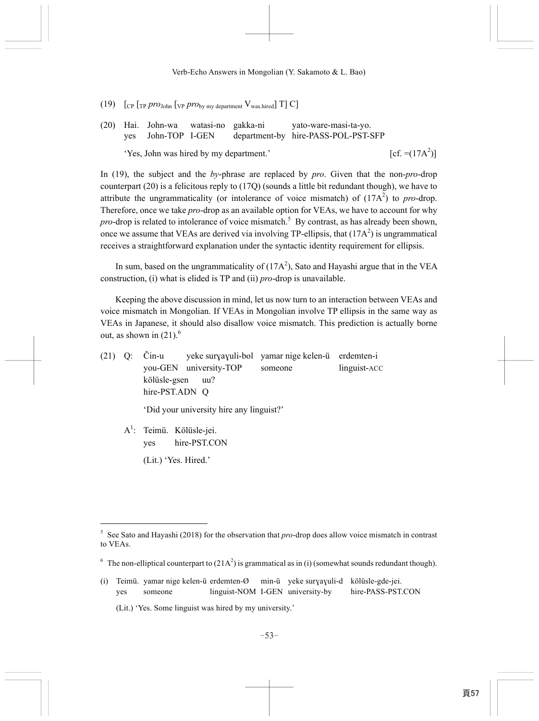- (19)  $\left[\begin{array}{cc} \text{Cp} & \text{TP } \text{pro}_\text{John} \end{array}\right]$  [VP  $\text{pro}_{\text{bv}}$  my department  $V_{\text{was hired}}$ ] T] C]
- (20) Hai. John-wa watasi-no gakka-ni yato-ware-masi-ta-yo. yes John-TOP I-GEN department-by hire-PASS-POL-PST-SFP 'Yes, John was hired by my department.'  $[cf. = (17A<sup>2</sup>)]$

In (19), the subject and the *by*-phrase are replaced by *pro*. Given that the non-*pro*-drop counterpart (20) is a felicitous reply to (17Q) (sounds a little bit redundant though), we have to attribute the ungrammaticality (or intolerance of voice mismatch) of  $(17A<sup>2</sup>)$  to *pro*-drop. Therefore, once we take *pro*-drop as an available option for VEAs, we have to account for why pro-drop is related to intolerance of voice mismatch.<sup>5</sup> By contrast, as has already been shown, once we assume that VEAs are derived via involving TP-ellipsis, that  $(17A<sup>2</sup>)$  is ungrammatical receives a straightforward explanation under the syntactic identity requirement for ellipsis.

In sum, based on the ungrammaticality of  $(17A^2)$ , Sato and Hayashi argue that in the VEA construction, (i) what is elided is TP and (ii) *pro*-drop is unavailable.

Keeping the above discussion in mind, let us now turn to an interaction between VEAs and voice mismatch in Mongolian. If VEAs in Mongolian involve TP ellipsis in the same way as VEAs in Japanese, it should also disallow voice mismatch. This prediction is actually borne out, as shown in  $(21)$ .<sup>6</sup>

(21) Q: Čin-u yeke surɣaɣuli-bol yamar nige kelen-ü erdemten-i you-GEN university-TOP someone linguist-ACC kölüsle-gsen uu? hire-PST.ADN Q

'Did your university hire any linguist?'

A<sup>1</sup>: Teimü. Kölüsle-jei. yes hire-PST.CON (Lit.) 'Yes. Hired.'

<sup>5</sup> See Sato and Hayashi (2018) for the observation that *pro*-drop does allow voice mismatch in contrast to VEAs.

<sup>&</sup>lt;sup>6</sup> The non-elliptical counterpart to  $(21A^2)$  is grammatical as in (i) (somewhat sounds redundant though).

<sup>(</sup>i) Teimü. yamar nige kelen-ü erdemten-Ø min-ü yeke surɣaɣuli-d kölüsle-gde-jei. yes someone linguist-NOM I-GEN university-by hire-PASS-PST.CON

 <sup>(</sup>Lit.) 'Yes. Some linguist was hired by my university.'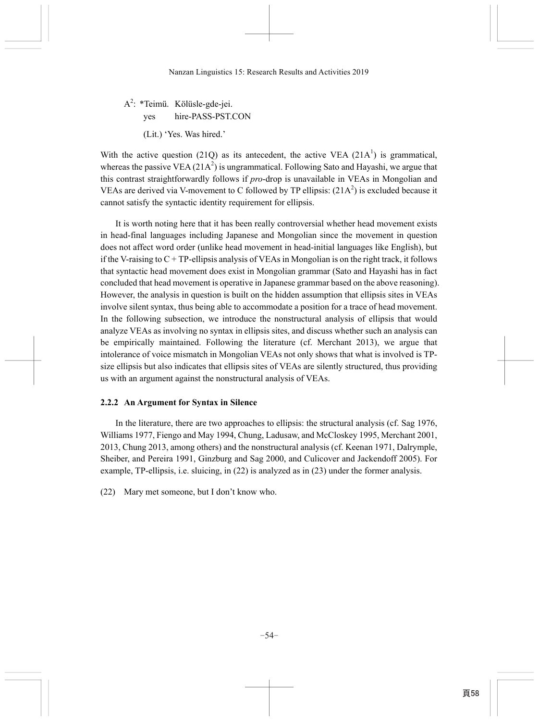A<sup>2</sup>: \*Teimü. Kölüsle-gde-jei. yes hire-PASS-PST.CON (Lit.) 'Yes. Was hired.'

With the active question (21Q) as its antecedent, the active VEA (21A<sup>1</sup>) is grammatical, whereas the passive VEA  $(21A^2)$  is ungrammatical. Following Sato and Hayashi, we argue that this contrast straightforwardly follows if *pro*-drop is unavailable in VEAs in Mongolian and VEAs are derived via V-movement to C followed by TP ellipsis:  $(21A<sup>2</sup>)$  is excluded because it cannot satisfy the syntactic identity requirement for ellipsis.

It is worth noting here that it has been really controversial whether head movement exists in head-final languages including Japanese and Mongolian since the movement in question does not affect word order (unlike head movement in head-initial languages like English), but if the V-raising to  $C + TP$ -ellipsis analysis of VEAs in Mongolian is on the right track, it follows that syntactic head movement does exist in Mongolian grammar (Sato and Hayashi has in fact concluded that head movement is operative in Japanese grammar based on the above reasoning). However, the analysis in question is built on the hidden assumption that ellipsis sites in VEAs involve silent syntax, thus being able to accommodate a position for a trace of head movement. In the following subsection, we introduce the nonstructural analysis of ellipsis that would analyze VEAs as involving no syntax in ellipsis sites, and discuss whether such an analysis can be empirically maintained. Following the literature (cf. Merchant 2013), we argue that intolerance of voice mismatch in Mongolian VEAs not only shows that what is involved is TPsize ellipsis but also indicates that ellipsis sites of VEAs are silently structured, thus providing us with an argument against the nonstructural analysis of VEAs.

## **2.2.2 An Argument for Syntax in Silence**

In the literature, there are two approaches to ellipsis: the structural analysis (cf. Sag 1976, Williams 1977, Fiengo and May 1994, Chung, Ladusaw, and McCloskey 1995, Merchant 2001, 2013, Chung 2013, among others) and the nonstructural analysis (cf. Keenan 1971, Dalrymple, Sheiber, and Pereira 1991, Ginzburg and Sag 2000, and Culicover and Jackendoff 2005). For example, TP-ellipsis, i.e. sluicing, in (22) is analyzed as in (23) under the former analysis.

(22) Mary met someone, but I don't know who.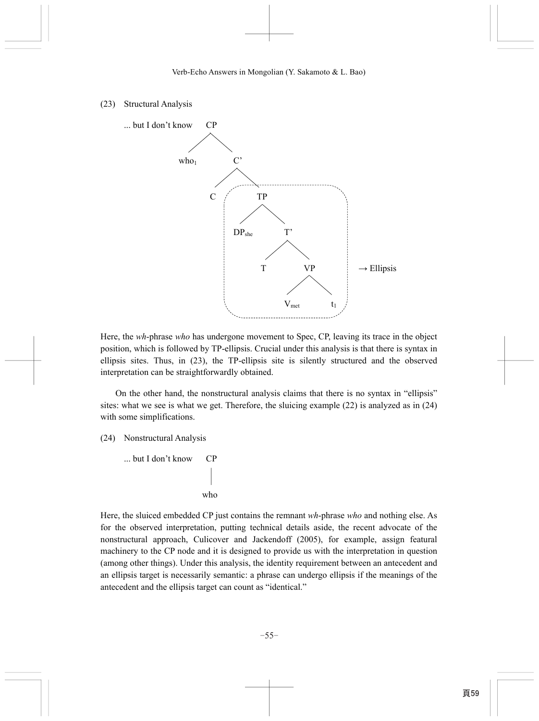## (23) Structural Analysis



Here, the *wh*-phrase *who* has undergone movement to Spec, CP, leaving its trace in the object position, which is followed by TP-ellipsis. Crucial under this analysis is that there is syntax in ellipsis sites. Thus, in (23), the TP-ellipsis site is silently structured and the observed interpretation can be straightforwardly obtained.

On the other hand, the nonstructural analysis claims that there is no syntax in "ellipsis" sites: what we see is what we get. Therefore, the sluicing example (22) is analyzed as in (24) with some simplifications.

(24) Nonstructural Analysis

```
 ... but I don't know CP
```
who

Here, the sluiced embedded CP just contains the remnant *wh*-phrase *who* and nothing else. As for the observed interpretation, putting technical details aside, the recent advocate of the nonstructural approach, Culicover and Jackendoff (2005), for example, assign featural machinery to the CP node and it is designed to provide us with the interpretation in question (among other things). Under this analysis, the identity requirement between an antecedent and an ellipsis target is necessarily semantic: a phrase can undergo ellipsis if the meanings of the antecedent and the ellipsis target can count as "identical."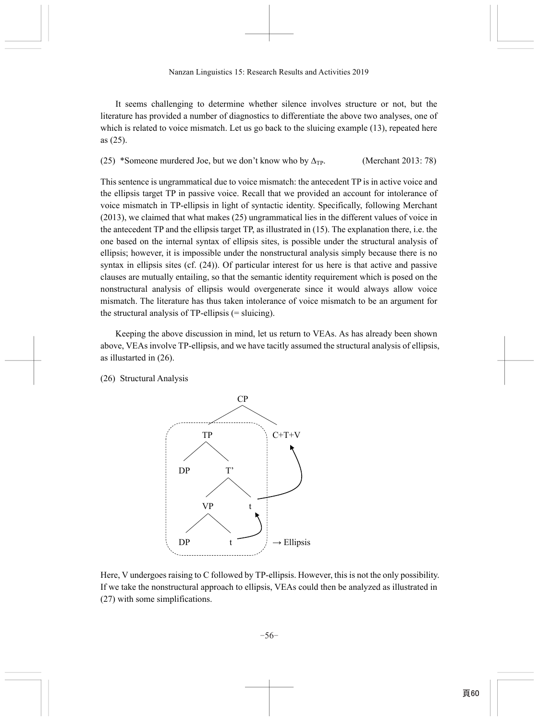It seems challenging to determine whether silence involves structure or not, but the literature has provided a number of diagnostics to differentiate the above two analyses, one of which is related to voice mismatch. Let us go back to the sluicing example (13), repeated here as (25).

(25) \*Someone murdered Joe, but we don't know who by  $\Delta_{TP}$ . (Merchant 2013: 78)

This sentence is ungrammatical due to voice mismatch: the antecedent TP is in active voice and the ellipsis target TP in passive voice. Recall that we provided an account for intolerance of voice mismatch in TP-ellipsis in light of syntactic identity. Specifically, following Merchant (2013), we claimed that what makes (25) ungrammatical lies in the different values of voice in the antecedent TP and the ellipsis target TP, as illustrated in (15). The explanation there, i.e. the one based on the internal syntax of ellipsis sites, is possible under the structural analysis of ellipsis; however, it is impossible under the nonstructural analysis simply because there is no syntax in ellipsis sites (cf. (24)). Of particular interest for us here is that active and passive clauses are mutually entailing, so that the semantic identity requirement which is posed on the nonstructural analysis of ellipsis would overgenerate since it would always allow voice mismatch. The literature has thus taken intolerance of voice mismatch to be an argument for the structural analysis of TP-ellipsis (= sluicing).

Keeping the above discussion in mind, let us return to VEAs. As has already been shown above, VEAs involve TP-ellipsis, and we have tacitly assumed the structural analysis of ellipsis, as illustarted in (26).

(26) Structural Analysis



Here, V undergoes raising to C followed by TP-ellipsis. However, this is not the only possibility. If we take the nonstructural approach to ellipsis, VEAs could then be analyzed as illustrated in (27) with some simplifications.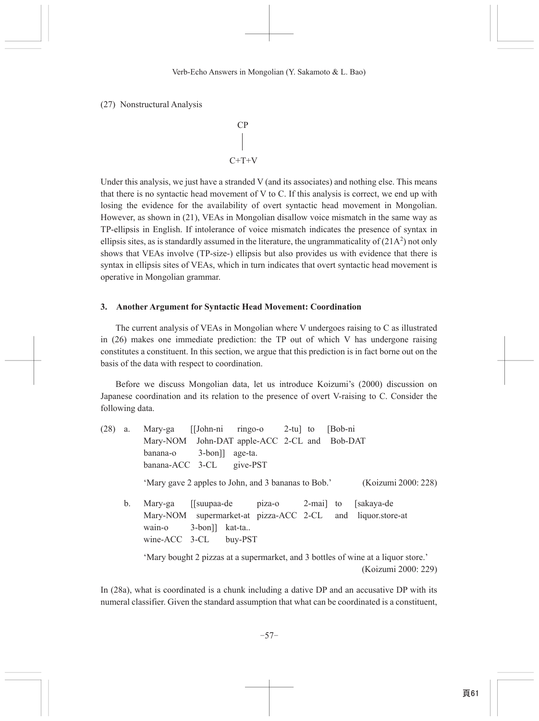(27) Nonstructural Analysis

$$
\begin{array}{c}\nCP \\
\downarrow \\
C+T+V\n\end{array}
$$

Under this analysis, we just have a stranded V (and its associates) and nothing else. This means that there is no syntactic head movement of V to C. If this analysis is correct, we end up with losing the evidence for the availability of overt syntactic head movement in Mongolian. However, as shown in (21), VEAs in Mongolian disallow voice mismatch in the same way as TP-ellipsis in English. If intolerance of voice mismatch indicates the presence of syntax in ellipsis sites, as is standardly assumed in the literature, the ungrammaticality of  $(21A<sup>2</sup>)$  not only shows that VEAs involve (TP-size-) ellipsis but also provides us with evidence that there is syntax in ellipsis sites of VEAs, which in turn indicates that overt syntactic head movement is operative in Mongolian grammar.

## 3. Another Argument for Syntactic Head Movement: Coordination

The current analysis of VEAs in Mongolian where V undergoes raising to C as illustrated in  $(26)$  makes one immediate prediction: the TP out of which V has undergone raising constitutes a constituent. In this section, we argue that this prediction is in fact borne out on the basis of the data with respect to coordination.

Before we discuss Mongolian data, let us introduce Koizumi's (2000) discussion on Japanese coordination and its relation to the presence of overt V-raising to C. Consider the following data.

 $(28)$  a. Mary-ga [John-ni] ringo-o  $2-tu$  to [Bob-ni] John-DAT apple-ACC 2-CL and Bob-DAT Mary-NOM banana-o  $3-bon$ ]] age-ta. banana-ACC 3-CL give-PST 'Mary gave 2 apples to John, and 3 bananas to Bob.' (Koizumi 2000: 228) b. Mary-ga [[suupaa-de] piza-o  $2$ -mai] to [sakaya-de] supermarket-at pizza-ACC 2-CL Mary-NOM and liquor.store-at  $wain-<sub>o</sub>$  $3-bon$ ]] kat-ta.. wine-ACC 3-CL buy-PST 'Mary bought 2 pizzas at a supermarket, and 3 bottles of wine at a liquor store.' (Koizumi 2000: 229)

In (28a), what is coordinated is a chunk including a dative DP and an accusative DP with its numeral classifier. Given the standard assumption that what can be coordinated is a constituent,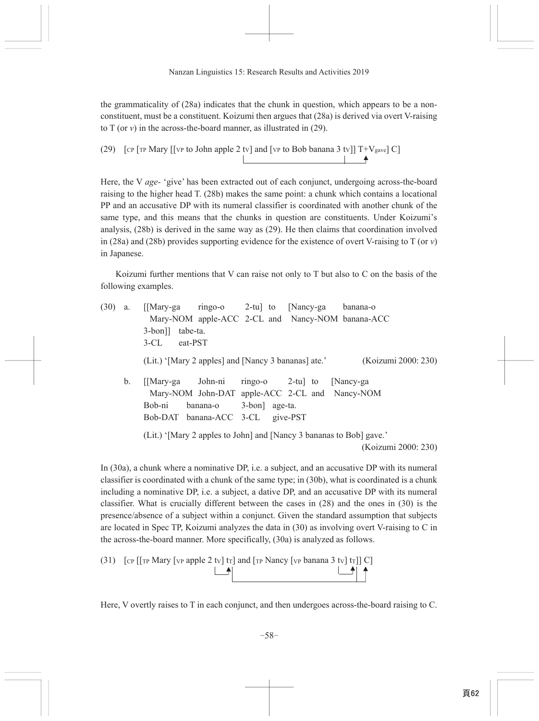the grammaticality of (28a) indicates that the chunk in question, which appears to be a nonconstituent, must be a constituent. Koizumi then argues that (28a) is derived via overt V-raising to T (or  $v$ ) in the across-the-board manner, as illustrated in (29).

(29) [CP [TP Mary [[VP to John apple 2 tv] and [VP to Bob banana 3 tv]] 
$$
T+V_{\text{gave}}
$$
] C]

Here, the V age-'give' has been extracted out of each conjunct, undergoing across-the-board raising to the higher head T. (28b) makes the same point: a chunk which contains a locational PP and an accusative DP with its numeral classifier is coordinated with another chunk of the same type, and this means that the chunks in question are constituents. Under Koizumi's analysis,  $(28b)$  is derived in the same way as  $(29)$ . He then claims that coordination involved in (28a) and (28b) provides supporting evidence for the existence of overt V-raising to  $T$  (or v) in Japanese.

Koizumi further mentions that V can raise not only to T but also to C on the basis of the following examples.

| (30) | a. |                                  |                        | [[Mary-ga ringo-o 2-tu] to [Nancy-ga banana-o                       |                     |
|------|----|----------------------------------|------------------------|---------------------------------------------------------------------|---------------------|
|      |    |                                  |                        | Mary-NOM apple-ACC 2-CL and Nancy-NOM banana-ACC                    |                     |
|      |    | 3-bon]] tabe-ta.                 |                        |                                                                     |                     |
|      |    | 3-CL eat-PST                     |                        |                                                                     |                     |
|      |    |                                  |                        | (Lit.) '[Mary 2 apples] and [Nancy 3 bananas] ate.'                 | (Koizumi 2000: 230) |
|      | b. | [[Mary-ga John-ni                |                        | ringo-o 2-tu to [Nancy-ga                                           |                     |
|      |    |                                  |                        | Mary-NOM John-DAT apple-ACC 2-CL and Nancy-NOM                      |                     |
|      |    | Bob-ni                           | banana-o 3-bon age-ta. |                                                                     |                     |
|      |    | Bob-DAT banana-ACC 3-CL give-PST |                        |                                                                     |                     |
|      |    |                                  |                        | (Lit.) '[Mary 2 apples to John] and [Nancy 3 bananas to Bob] gave.' |                     |
|      |    |                                  |                        |                                                                     | (Koizumi 2000: 230) |

In (30a), a chunk where a nominative DP, i.e. a subject, and an accusative DP with its numeral classifier is coordinated with a chunk of the same type; in (30b), what is coordinated is a chunk including a nominative DP, i.e. a subject, a dative DP, and an accusative DP with its numeral classifier. What is crucially different between the cases in  $(28)$  and the ones in  $(30)$  is the presence/absence of a subject within a conjunct. Given the standard assumption that subjects are located in Spec TP, Koizumi analyzes the data in (30) as involving overt V-raising to C in the across-the-board manner. More specifically, (30a) is analyzed as follows.

Here, V overtly raises to T in each conjunct, and then undergoes across-the-board raising to C.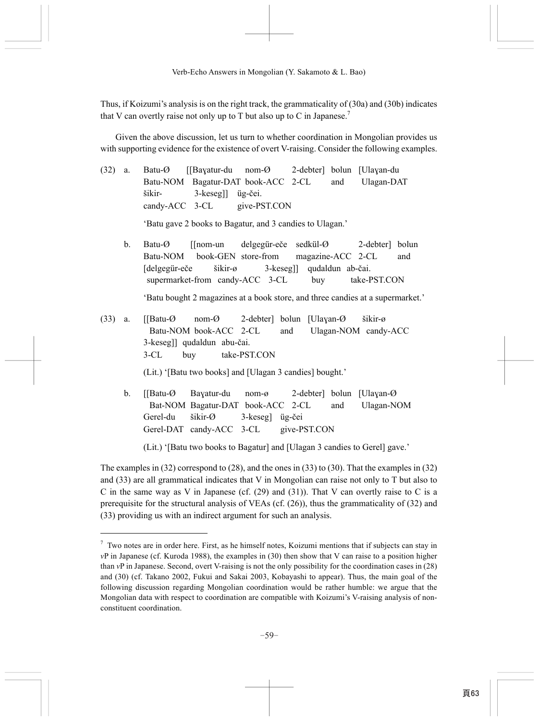Thus, if Koizumi's analysis is on the right track, the grammaticality of (30a) and (30b) indicates that V can overtly raise not only up to T but also up to C in Japanese.<sup>7</sup>

Given the above discussion, let us turn to whether coordination in Mongolian provides us with supporting evidence for the existence of overt V-raising. Consider the following examples.

- (32) a. Batu-Ø [[Baɣatur-du nom-Ø 2-debter] bolun [Ulaɣan-du Batu-NOM Bagatur-DAT book-ACC 2-CL and Ulagan-DAT šikir- 3-keseg]] üg-čei. candy-ACC 3-CL give-PST.CON 'Batu gave 2 books to Bagatur, and 3 candies to Ulagan.'
	- b. Batu-Ø [[nom-un delgegür-eče sedkül-Ø 2-debter] bolun Batu-NOM book-GEN store-from magazine-ACC 2-CL and [delgegür-eče šikir-ø 3-keseg]] qudaldun ab-čai. supermarket-from candy-ACC 3-CL buy take-PST.CON

'Batu bought 2 magazines at a book store, and three candies at a supermarket.'

(33) a. [[Batu-Ø nom-Ø 2-debter] bolun [Ulaɣan-Ø šikir-ø Batu-NOM book-ACC 2-CL and Ulagan-NOM candy-ACC 3-keseg]] qudaldun abu-čai. 3-CL buy take-PST.CON

(Lit.) '[Batu two books] and [Ulagan 3 candies] bought.'

 b. [[Batu-Ø Baɣatur-du nom-ø 2-debter] bolun [Ulaɣan-Ø Bat-NOM Bagatur-DAT book-ACC 2-CL and Ulagan-NOM Gerel-du šikir-Ø 3-keseg] üg-čei Gerel-DAT candy-ACC 3-CL give-PST.CON

(Lit.) '[Batu two books to Bagatur] and [Ulagan 3 candies to Gerel] gave.'

The examples in (32) correspond to (28), and the ones in (33) to (30). That the examples in (32) and (33) are all grammatical indicates that V in Mongolian can raise not only to T but also to C in the same way as V in Japanese (cf.  $(29)$  and  $(31)$ ). That V can overtly raise to C is a prerequisite for the structural analysis of VEAs (cf. (26)), thus the grammaticality of (32) and (33) providing us with an indirect argument for such an analysis.

 $<sup>7</sup>$  Two notes are in order here. First, as he himself notes, Koizumi mentions that if subjects can stay in</sup> *v*P in Japanese (cf. Kuroda 1988), the examples in (30) then show that V can raise to a position higher than *v*P in Japanese. Second, overt V-raising is not the only possibility for the coordination cases in (28) and (30) (cf. Takano 2002, Fukui and Sakai 2003, Kobayashi to appear). Thus, the main goal of the following discussion regarding Mongolian coordination would be rather humble: we argue that the Mongolian data with respect to coordination are compatible with Koizumi's V-raising analysis of nonconstituent coordination.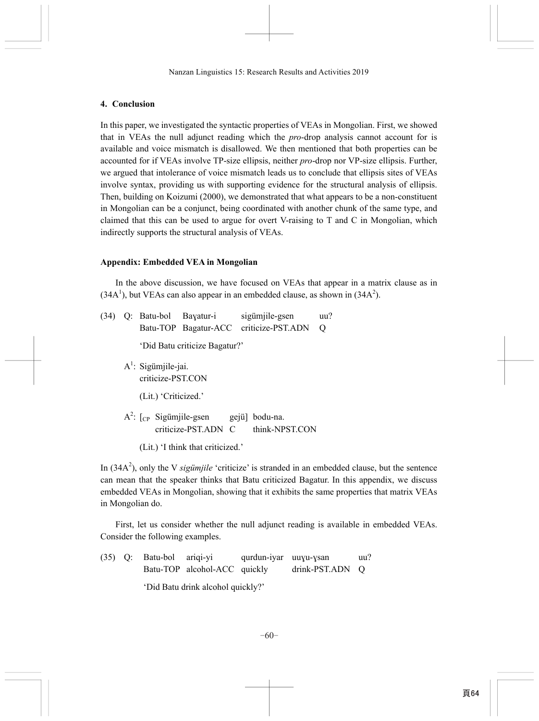# **4. Conclusion**

In this paper, we investigated the syntactic properties of VEAs in Mongolian. First, we showed that in VEAs the null adjunct reading which the *pro*-drop analysis cannot account for is available and voice mismatch is disallowed. We then mentioned that both properties can be accounted for if VEAs involve TP-size ellipsis, neither *pro*-drop nor VP-size ellipsis. Further, we argued that intolerance of voice mismatch leads us to conclude that ellipsis sites of VEAs involve syntax, providing us with supporting evidence for the structural analysis of ellipsis. Then, building on Koizumi (2000), we demonstrated that what appears to be a non-constituent in Mongolian can be a conjunct, being coordinated with another chunk of the same type, and claimed that this can be used to argue for overt V-raising to T and C in Mongolian, which indirectly supports the structural analysis of VEAs.

# **Appendix: Embedded VEA in Mongolian**

In the above discussion, we have focused on VEAs that appear in a matrix clause as in  $(34A<sup>1</sup>)$ , but VEAs can also appear in an embedded clause, as shown in  $(34A<sup>2</sup>)$ .

|  | (34) Q: Batu-bol Bayatur-i    | sigümjile-gsen                         | uu?              |
|--|-------------------------------|----------------------------------------|------------------|
|  |                               | Batu-TOP Bagatur-ACC criticize-PST.ADN | $\left( \right)$ |
|  | 'Did Batu criticize Bagatur?' |                                        |                  |

- A<sup>1</sup>: Sigümjile-jai. criticize-PST.CON
	- (Lit.) 'Criticized.'
- $A^2$ :  $[$ c<sub>P</sub> Sigümjile-gsen gejü] bodu-na. criticize-PST.ADN C think-NPST.CON
	- (Lit.) 'I think that criticized.'

In  $(34A<sup>2</sup>)$ , only the V *sigümjile* 'criticize' is stranded in an embedded clause, but the sentence can mean that the speaker thinks that Batu criticized Bagatur. In this appendix, we discuss embedded VEAs in Mongolian, showing that it exhibits the same properties that matrix VEAs in Mongolian do.

First, let us consider whether the null adjunct reading is available in embedded VEAs. Consider the following examples.

(35) Q: Batu-bol ariqi-yi qurdun-iyar uuɣu-ɣsan uu? Batu-TOP alcohol-ACC quickly drink-PST.ADN Q 'Did Batu drink alcohol quickly?'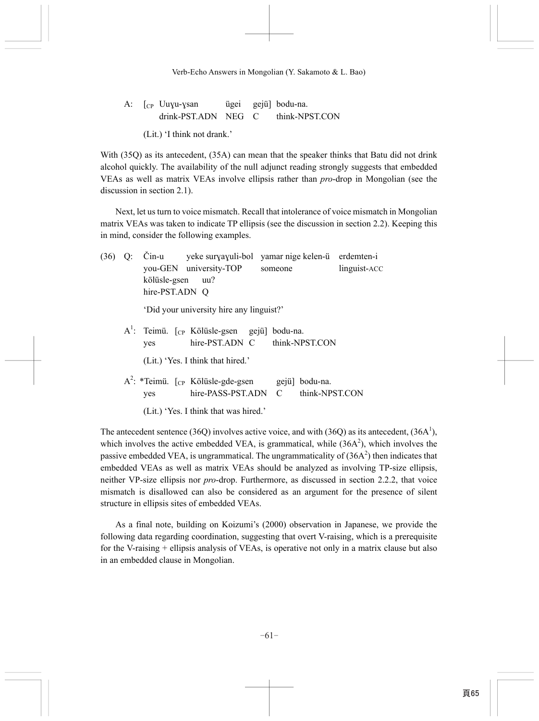|  | A: $\int_{CP}$ Uuyu-ysan |  | ügei gejü] bodu-na.                |
|--|--------------------------|--|------------------------------------|
|  |                          |  | drink-PST.ADN NEG C think-NPST.CON |

(Lit.) 'I think not drank.'

With (35Q) as its antecedent, (35A) can mean that the speaker thinks that Batu did not drink alcohol quickly. The availability of the null adjunct reading strongly suggests that embedded VEAs as well as matrix VEAs involve ellipsis rather than *pro*-drop in Mongolian (see the discussion in section 2.1).

Next, let us turn to voice mismatch. Recall that intolerance of voice mismatch in Mongolian matrix VEAs was taken to indicate TP ellipsis (see the discussion in section 2.2). Keeping this in mind, consider the following examples.

(36) Q: Čin-u yeke surɣaɣuli-bol yamar nige kelen-ü erdemten-i you-GEN university-TOP someone linguist-ACC kölüsle-gsen uu? hire-PST.ADN O 'Did your university hire any linguist?'  $A^1$ : Teimü. [cp Kölüsle-gsen gejü] bodu-na. yes hire-PST.ADN C think-NPST.CON (Lit.) 'Yes. I think that hired.' A<sup>2</sup>: \*Teimü. [cp Kölüsle-gde-gsen gejü] bodu-na. yes hire-PASS-PST.ADN C think-NPST.CON (Lit.) 'Yes. I think that was hired.'

The antecedent sentence (36Q) involves active voice, and with (36Q) as its antecedent, (36A<sup>1</sup>), which involves the active embedded VEA, is grammatical, while  $(36A<sup>2</sup>)$ , which involves the passive embedded VEA, is ungrammatical. The ungrammaticality of  $(36A<sup>2</sup>)$  then indicates that embedded VEAs as well as matrix VEAs should be analyzed as involving TP-size ellipsis, neither VP-size ellipsis nor *pro*-drop. Furthermore, as discussed in section 2.2.2, that voice mismatch is disallowed can also be considered as an argument for the presence of silent structure in ellipsis sites of embedded VEAs.

As a final note, building on Koizumi's (2000) observation in Japanese, we provide the following data regarding coordination, suggesting that overt V-raising, which is a prerequisite for the V-raising + ellipsis analysis of VEAs, is operative not only in a matrix clause but also in an embedded clause in Mongolian.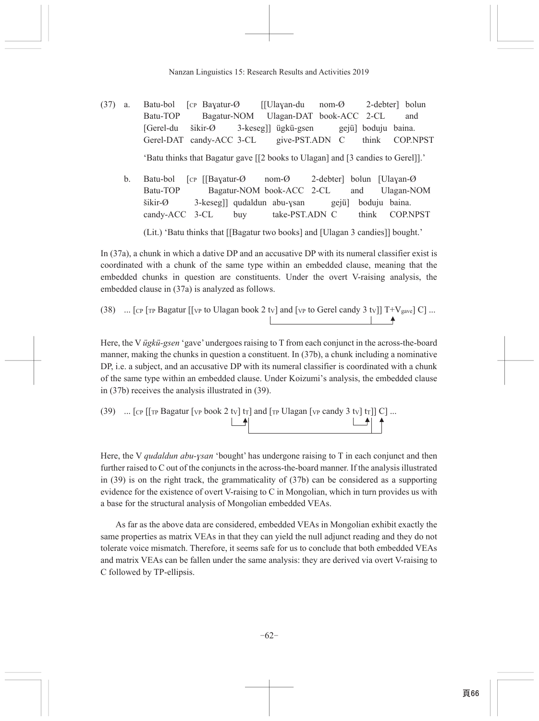- Batu-bol [CP Bayatur-Ø [[Ulayan-du  $nom-*Ø*$ 2-debter] bolun  $(37)$  a. Batu-TOP Bagatur-NOM Ulagan-DAT book-ACC 2-CL and [Gerel-du  $\check{\text{s}}\text{ikir-}\varnothing$ 3-keseg]] ügkü-gsen gejü] boduju baina. give-PST.ADN C Gerel-DAT candy-ACC 3-CL think **COP.NPST** 'Batu thinks that Bagatur gave [[2 books to Ulagan] and [3 candies to Gerel]].'
	- 2-debter] bolun [Ulayan-Ø  $\mathbf{b}$ . Batu-bol [CP [[Bayatur-Ø  $nom-*Ø*$ Batu-TOP Bagatur-NOM book-ACC 2-CL and Ulagan-NOM  $\check{\text{s}}\text{ikir-}\varnothing$ 3-keseg]] qudaldun abu-ysan boduju baina. gejü] take-PST.ADN C **COP.NPST** candy-ACC 3-CL buy think

(Lit.) 'Batu thinks that [[Bagatur two books] and [Ulagan 3 candies]] bought.'

In  $(37a)$ , a chunk in which a dative DP and an accusative DP with its numeral classifier exist is coordinated with a chunk of the same type within an embedded clause, meaning that the embedded chunks in question are constituents. Under the overt V-raising analysis, the embedded clause in (37a) is analyzed as follows.

(38) ... [CP [TP Bagatur [[VP to Ulagan book 2 tv] and [VP to Gerel candy 3 tv]] 
$$
T+V_{\text{gave}}
$$
] C] ...

Here, the V *ügkü-gsen* 'gave' undergoes raising to T from each conjunct in the across-the-board manner, making the chunks in question a constituent. In  $(37b)$ , a chunk including a nominative DP, i.e. a subject, and an accusative DP with its numeral classifier is coordinated with a chunk of the same type within an embedded clause. Under Koizumi's analysis, the embedded clause in  $(37b)$  receives the analysis illustrated in  $(39)$ .

Here, the V *qudaldun abu-ysan* 'bought' has undergone raising to  $T$  in each conjunct and then further raised to C out of the conjuncts in the across-the-board manner. If the analysis illustrated in  $(39)$  is on the right track, the grammaticality of  $(37b)$  can be considered as a supporting evidence for the existence of overt V-raising to C in Mongolian, which in turn provides us with a base for the structural analysis of Mongolian embedded VEAs.

As far as the above data are considered, embedded VEAs in Mongolian exhibit exactly the same properties as matrix VEAs in that they can yield the null adjunct reading and they do not tolerate voice mismatch. Therefore, it seems safe for us to conclude that both embedded VEAs and matrix VEAs can be fallen under the same analysis: they are derived via overt V-raising to C followed by TP-ellipsis.